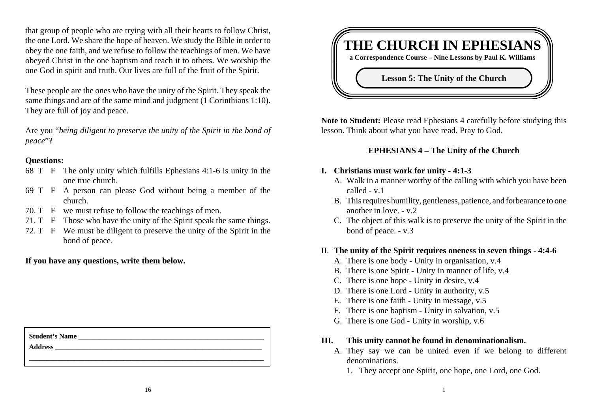that group of people who are trying with all their hearts to follow Christ, the one Lord. We share the hope of heaven. We study the Bible in order to obey the one faith, and we refuse to follow the teachings of men. We have obeyed Christ in the one baptism and teach it to others. We worship the one God in spirit and truth. Our lives are full of the fruit of the Spirit.

These people are the ones who have the unity of the Spirit. They speak the same things and are of the same mind and judgment (1 Corinthians 1:10). They are full of joy and peace.

Are you "*being diligent to preserve the unity of the Spirit in the bond of peace*"?

### **Questions:**

- 68 T F The only unity which fulfills Ephesians 4:1-6 is unity in the one true church.
- 69 T F A person can please God without being a member of the church.
- 70. T F we must refuse to follow the teachings of men.
- 71. T F Those who have the unity of the Spirit speak the same things.
- 72. T F We must be diligent to preserve the unity of the Spirit in the bond of peace.

**If you have any questions, write them below.**

| <b>Student's Name</b> |  |
|-----------------------|--|
| <b>Address</b>        |  |
|                       |  |



**Note to Student:** Please read Ephesians 4 carefully before studying this lesson. Think about what you have read. Pray to God.

## **EPHESIANS 4 – The Unity of the Church**

## **I. Christians must work for unity - 4:1-3**

- A. Walk in a manner worthy of the calling with which you have been called - v.1
- B. This requires humility, gentleness, patience, and forbearance to one another in love. - v.2
- C. The object of this walk is to preserve the unity of the Spirit in the bond of peace. - v.3

### II. **The unity of the Spirit requires oneness in seven things - 4:4-6**

- A. There is one body Unity in organisation, v.4
- B. There is one Spirit Unity in manner of life, v.4
- C. There is one hope Unity in desire, v.4
- D. There is one Lord Unity in authority, v.5
- E. There is one faith Unity in message, v.5
- F. There is one baptism Unity in salvation, v.5
- G. There is one God Unity in worship, v.6

### **III. This unity cannot be found in denominationalism.**

- A. They say we can be united even if we belong to different denominations.
	- 1. They accept one Spirit, one hope, one Lord, one God.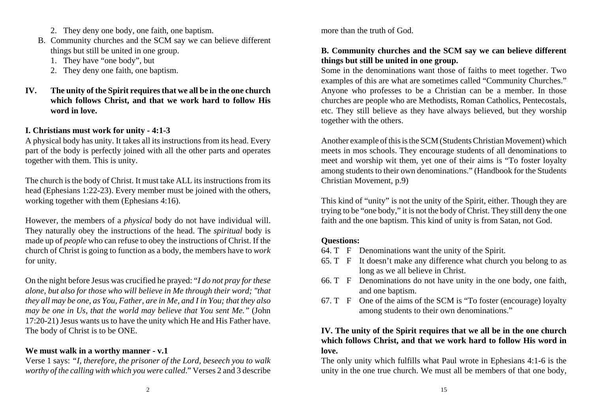- 2. They deny one body, one faith, one baptism.
- B. Community churches and the SCM say we can believe different things but still be united in one group.
	- 1. They have "one body", but
	- 2. They deny one faith, one baptism.
- **IV. The unity of the Spirit requires that we all be in the one church which follows Christ, and that we work hard to follow His word in love.**

# **I. Christians must work for unity - 4:1-3**

A physical body has unity. It takes all its instructions from its head. Every part of the body is perfectly joined with all the other parts and operates together with them. This is unity.

The church is the body of Christ. It must take ALL its instructions from its head (Ephesians 1:22-23). Every member must be joined with the others, working together with them (Ephesians 4:16).

However, the members of a *physical* body do not have individual will. They naturally obey the instructions of the head. The *spiritual* body is made up of *people* who can refuse to obey the instructions of Christ. If the church of Christ is going to function as a body, the members have to *work* for unity.

On the night before Jesus was crucified he prayed: "*I do not pray for these alone, but also for those who will believe in Me through their word; "that they all may be one, as You, Father, are in Me, and I in You; that they also may be one in Us, that the world may believe that You sent Me."* (John 17:20-21) Jesus wants us to have the unity which He and His Father have. The body of Christ is to be ONE.

# **We must walk in a worthy manner - v.1**

Verse 1 says: *"I, therefore, the prisoner of the Lord, beseech you to walk worthy of the calling with which you were called*." Verses 2 and 3 describe

more than the truth of God.

# **B. Community churches and the SCM say we can believe different things but still be united in one group.**

Some in the denominations want those of faiths to meet together. Two examples of this are what are sometimes called "Community Churches." Anyone who professes to be a Christian can be a member. In those churches are people who are Methodists, Roman Catholics, Pentecostals, etc. They still believe as they have always believed, but they worship together with the others.

Another example of this is the SCM (Students Christian Movement) which meets in mos schools. They encourage students of all denominations to meet and worship wit them, yet one of their aims is "To foster loyalty among students to their own denominations." (Handbook for the Students Christian Movement, p.9)

This kind of "unity" is not the unity of the Spirit, either. Though they are trying to be "one body," it is not the body of Christ. They still deny the one faith and the one baptism. This kind of unity is from Satan, not God.

# **Questions:**

- 64. T F Denominations want the unity of the Spirit.
- 65. T F It doesn't make any difference what church you belong to as long as we all believe in Christ.
- 66. T F Denominations do not have unity in the one body, one faith, and one baptism.
- 67. T F One of the aims of the SCM is "To foster (encourage) loyalty among students to their own denominations."

# **IV. The unity of the Spirit requires that we all be in the one church which follows Christ, and that we work hard to follow His word in love.**

The only unity which fulfills what Paul wrote in Ephesians 4:1-6 is the unity in the one true church. We must all be members of that one body,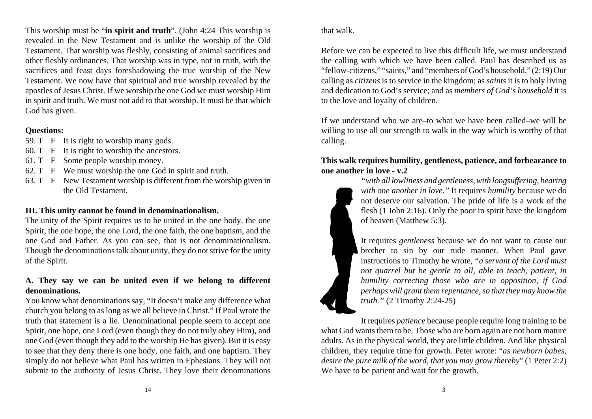This worship must be "**in spirit and truth**". (John 4:24 This worship is revealed in the New Testament and is unlike the worship of the Old Testament. That worship was fleshly, consisting of animal sacrifices and other fleshly ordinances. That worship was in type, not in truth, with the sacrifices and feast days foreshadowing the true worship of the New Testament. We now have that spiritual and true worship revealed by the apostles of Jesus Christ. If we worship the one God we must worship Him in spirit and truth. We must not add to that worship. It must be that which God has given.

### **Questions:**

- 59. T F It is right to worship many gods.
- 60. T F It is right to worship the ancestors.
- 61. T F Some people worship money.
- 62. T F We must worship the one God in spirit and truth.
- 63. T F New Testament worship is different from the worship given in the Old Testament.

### **III. This unity cannot be found in denominationalism.**

The unity of the Spirit requires us to be united in the one body, the one Spirit, the one hope, the one Lord, the one faith, the one baptism, and the one God and Father. As you can see, that is not denominationalism. Though the denominations talk about unity, they do not strive for the unity of the Spirit.

# **A. They say we can be united even if we belong to different denominations.**

You know what denominations say, "It doesn't make any difference what church you belong to as long as we all believe in Christ." If Paul wrote the truth that statement is a lie. Denominational people seem to accept one Spirit, one hope, one Lord (even though they do not truly obey Him), and one God (even though they add to the worship He has given). But it is easy to see that they deny there is one body, one faith, and one baptism. They simply do not believe what Paul has written in Ephesians. They will not submit to the authority of Jesus Christ. They love their denominations

that walk.

Before we can be expected to live this difficult life, we must understand the calling with which we have been called. Paul has described us as "fellow-citizens," "saints," and "members of God's household." (2:19) Our calling as *citizens* is to service in the kingdom; as *saints* it is to holy living and dedication to God's service; and as *members of God's household* it is to the love and loyalty of children.

If we understand who we are–to what we have been called–we will bewilling to use all our strength to walk in the way which is worthy of that calling.

### **This walk requires humility, gentleness, patience, and forbearance to one another in love - v.2**

*"with all lowliness and gentleness, with longsuffering, bearing with one another in love."* It requires *humility* because we do not deserve our salvation. The pride of life is a work of the flesh (1 John 2:16). Only the poor in spirit have the kingdom of heaven (Matthew 5:3).

It requires *gentleness* because we do not want to cause our brother to sin by our rude manner. When Paul gave instructions to Timothy he wrote, *"a servant of the Lord must not quarrel but be gentle to all, able to teach, patient, in humility correcting those who are in opposition, if God perhaps will grant them repentance, so that they may know the truth."* (2 Timothy 2:24-25)

It requires *patience* because people require long training to be what God wants them to be. Those who are born again are not born mature adults. As in the physical world, they are little children. And like physical children, they require time for growth. Peter wrote: "*as newborn babes, desire the pure milk of the word, that you may grow thereby*" (1 Peter 2:2) We have to be patient and wait for the growth.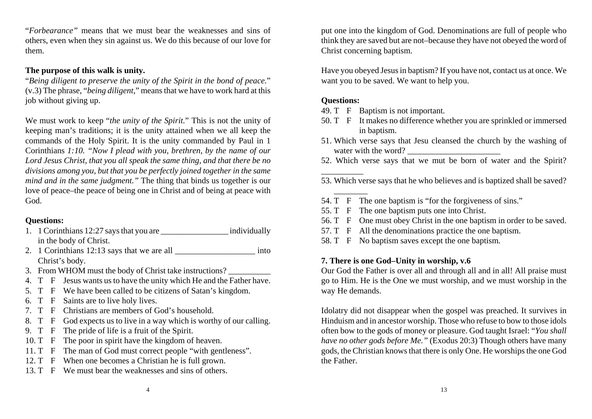"*Forbearance"* means that we must bear the weaknesses and sins of others, even when they sin against us. We do this because of our love for them.

## **The purpose of this walk is unity.**

"*Being diligent to preserve the unity of the Spirit in the bond of peace.*" (v.3) The phrase, "*being diligent*," means that we have to work hard at this job without giving up.

We must work to keep "*the unity of the Spirit.*" This is not the unity of keeping man's traditions; it is the unity attained when we all keep the commands of the Holy Spirit. It is the unity commanded by Paul in 1 Corinthians *1:10. "Now I plead with you, brethren, by the name of our Lord Jesus Christ, that you all speak the same thing, and that there be no divisions among you, but that you be perfectly joined together in the same mind and in the same judgment."* The thing that binds us together is our love of peace–the peace of being one in Christ and of being at peace with God.

# **Questions:**

- 1. 1 Corinthians 12:27 says that you are \_\_\_\_\_\_\_\_\_\_\_\_\_\_\_\_ individually in the body of Christ.
- 2. 1 Corinthians 12:13 says that we are all \_\_\_\_\_\_\_\_\_\_\_\_\_\_\_\_\_\_\_\_\_\_\_\_ into Christ's body.
- 3. From WHOM must the body of Christ take instructions?
- 4. T F Jesus wants us to have the unity which He and the Father have.
- 5. T F We have been called to be citizens of Satan's kingdom.
- 6. T F Saints are to live holy lives.
- 7. T F Christians are members of God's household.
- 8. T F God expects us to live in a way which is worthy of our calling.
- 9. T F The pride of life is a fruit of the Spirit.
- 10. T F The poor in spirit have the kingdom of heaven.
- 11. T F The man of God must correct people "with gentleness".
- 12. T F When one becomes a Christian he is full grown.
- 13. T F We must bear the weaknesses and sins of others.

put one into the kingdom of God. Denominations are full of people who think they are saved but are not–because they have not obeyed the word of Christ concerning baptism.

Have you obeyed Jesus in baptism? If you have not, contact us at once. We want you to be saved. We want to help you.

# **Questions:**

- 49. T F Baptism is not important.
- 50. T F It makes no difference whether you are sprinkled or immersed in baptism.
- 51. Which verse says that Jesu cleansed the church by the washing of water with the word?
- 52. Which verse says that we mut be born of water and the Spirit?

53. Which verse says that he who believes and is baptized shall be saved?

- 54. T F The one baptism is "for the forgiveness of sins."
- 55. T F The one baptism puts one into Christ.
- 56. T F One must obey Christ in the one baptism in order to be saved.
- 57. T F All the denominations practice the one baptism.
- 58. T F No baptism saves except the one baptism.

# **7. There is one God–Unity in worship, v.6**

Our God the Father is over all and through all and in all! All praise must go to Him. He is the One we must worship, and we must worship in the way He demands.

Idolatry did not disappear when the gospel was preached. It survives in Hinduism and in ancestor worship. Those who refuse to bow to those idols often bow to the gods of money or pleasure. God taught Israel: "*You shall have no other gods before Me."* (Exodus 20:3) Though others have many gods, the Christian knows that there is only One. He worships the one God the Father.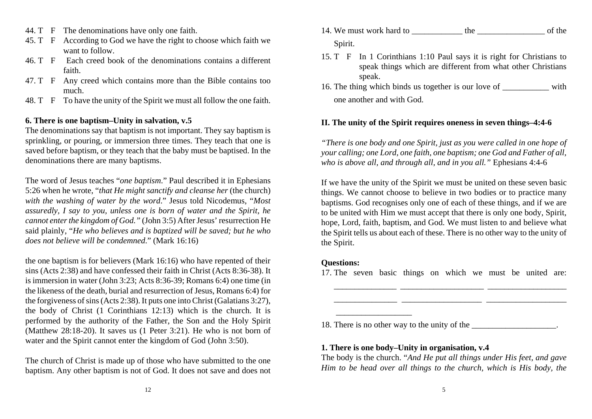- 44. T F The denominations have only one faith.
- 45. T F According to God we have the right to choose which faith we want to follow.
- 46. T F Each creed book of the denominations contains a differentfaith.
- 47. T F Any creed which contains more than the Bible contains too much.
- 48. T F To have the unity of the Spirit we must all follow the one faith.

### **6. There is one baptism–Unity in salvation, v.5**

The denominations say that baptism is not important. They say baptism is sprinkling, or pouring, or immersion three times. They teach that one is saved before baptism, or they teach that the baby must be baptised. In the denominations there are many baptisms.

The word of Jesus teaches "*one baptism*." Paul described it in Ephesians 5:26 when he wrote, "*that He might sanctify and cleanse her* (the church) *with the washing of water by the word*." Jesus told Nicodemus, "*Most assuredly, I say to you, unless one is born of water and the Spirit, he cannot enter the kingdom of God."* (John 3:5) After Jesus' resurrection He said plainly, "*He who believes and is baptized will be saved; but he who does not believe will be condemned*." (Mark 16:16)

the one baptism is for believers (Mark 16:16) who have repented of their sins (Acts 2:38) and have confessed their faith in Christ (Acts 8:36-38). It is immersion in water (John 3:23; Acts 8:36-39; Romans 6:4) one time (in the likeness of the death, burial and resurrection of Jesus, Romans 6:4) for the forgiveness of sins (Acts 2:38). It puts one into Christ (Galatians 3:27), the body of Christ (1 Corinthians 12:13) which is the church. It is performed by the authority of the Father, the Son and the Holy Spirit (Matthew 28:18-20). It saves us (1 Peter 3:21). He who is not born of water and the Spirit cannot enter the kingdom of God (John 3:50).

The church of Christ is made up of those who have submitted to the one baptism. Any other baptism is not of God. It does not save and does not

- 14. We must work hard to the the of the of the of the state of the state of the state of the state of the state of the state of the state of the state of the state of the state of the state of the state of the state of the Spirit.
- 15. T F In 1 Corinthians 1:10 Paul says it is right for Christians to speak things which are different from what other Christians speak.
- 16. The thing which binds us together is our love of with one another and with God.

# **II. The unity of the Spirit requires oneness in seven things–4:4-6**

*"There is one body and one Spirit, just as you were called in one hope of your calling; one Lord, one faith, one baptism; one God and Father of all, who is above all, and through all, and in you all."* Ephesians 4:4-6

If we have the unity of the Spirit we must be united on these seven basic things. We cannot choose to believe in two bodies or to practice many baptisms. God recognises only one of each of these things, and if we are to be united with Him we must accept that there is only one body, Spirit, hope, Lord, faith, baptism, and God. We must listen to and believe what the Spirit tells us about each of these. There is no other way to the unity of the Spirit.

## **Questions:**

17. The seven basic things on which we must be united are:

\_\_\_\_\_\_\_\_\_\_\_\_\_\_\_ \_\_\_\_\_\_\_\_\_\_\_\_\_\_\_\_\_\_\_ \_\_\_\_\_\_\_\_\_\_\_\_\_\_\_\_\_\_\_

\_\_\_\_\_\_\_\_\_\_\_\_\_\_\_ \_\_\_\_\_\_\_\_\_\_\_\_\_\_\_\_\_\_\_\_ \_\_\_\_\_\_\_\_\_\_\_\_\_\_\_\_\_\_\_

18. There is no other way to the unity of the \_\_\_\_\_\_\_\_\_\_\_\_\_\_\_\_\_.

### **1. There is one body–Unity in organisation, v.4**

The body is the church. "*And He put all things under His feet, and gave Him to be head over all things to the church, which is His body, the*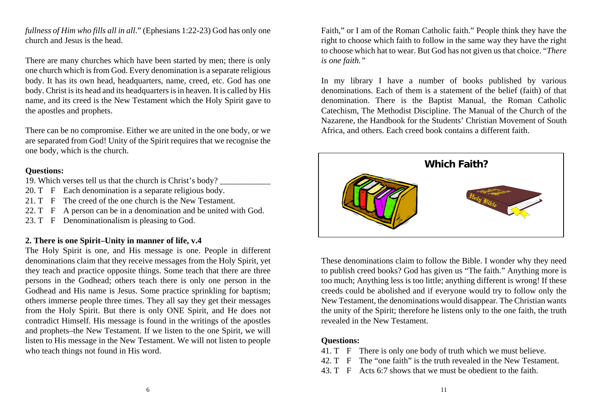*fullness of Him who fills all in all*." (Ephesians 1:22-23) God has only one church and Jesus is the head.

There are many churches which have been started by men; there is only one church which is from God. Every denomination is a separate religious body. It has its own head, headquarters, name, creed, etc. God has one body. Christ is its head and its headquarters is in heaven. It is called by His name, and its creed is the New Testament which the Holy Spirit gave to the apostles and prophets.

There can be no compromise. Either we are united in the one body, or we are separated from God! Unity of the Spirit requires that we recognise the one body, which is the church.

### **Questions:**

19. Which verses tell us that the church is Christ's body?

- 20. T F Each denomination is a separate religious body.
- 21. T F The creed of the one church is the New Testament.
- 22. T F A person can be in a denomination and be united with God.
- 23. T F Denominationalism is pleasing to God.

# **2. There is one Spirit–Unity in manner of life, v.4**

The Holy Spirit is one, and His message is one. People in different denominations claim that they receive messages from the Holy Spirit, yet they teach and practice opposite things. Some teach that there are three persons in the Godhead; others teach there is only one person in the Godhead and His name is Jesus. Some practice sprinkling for baptism; others immerse people three times. They all say they get their messages from the Holy Spirit. But there is only ONE Spirit, and He does not contradict Himself. His message is found in the writings of the apostles and prophets–the New Testament. If we listen to the one Spirit, we will listen to His message in the New Testament. We will not listen to people who teach things not found in His word.

Faith," or I am of the Roman Catholic faith." People think they have the right to choose which faith to follow in the same way they have the right to choose which hat to wear. But God has not given us that choice. "*There is one faith."*

In my library I have a number of books published by various denominations. Each of them is a statement of the belief (faith) of that denomination. There is the Baptist Manual, the Roman Catholic Catechism, The Methodist Discipline. The Manual of the Church of the Nazarene, the Handbook for the Students' Christian Movement of South Africa, and others. Each creed book contains a different faith.



These denominations claim to follow the Bible. I wonder why they need to publish creed books? God has given us "The faith." Anything more is too much; Anything less is too little; anything different is wrong! If these creeds could be abolished and if everyone would try to follow only the New Testament, the denominations would disappear. The Christian wants the unity of the Spirit; therefore he listens only to the one faith, the truth revealed in the New Testament.

## **Questions:**

- 41. T F There is only one body of truth which we must believe.
- 42. T F The "one faith" is the truth revealed in the New Testament.
- 43. T F Acts 6:7 shows that we must be obedient to the faith.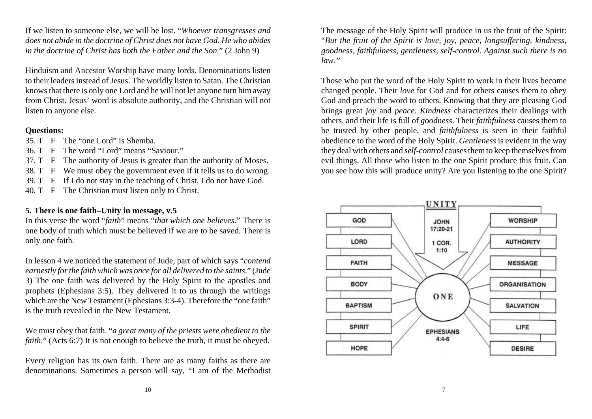If we listen to someone else, we will be lost. "*Whoever transgresses and does not abide in the doctrine of Christ does not have God. He who abides in the doctrine of Christ has both the Father and the Son*." (2 John 9)

Hinduism and Ancestor Worship have many lords. Denominations listen to their leaders instead of Jesus. The worldly listen to Satan. The Christian knows that there is only one Lord and he will not let anyone turn him away from Christ. Jesus' word is absolute authority, and the Christian will not listen to anyone else.

### **Questions:**

- 35. T F The "one Lord" is Shemba.
- 36. T F The word "Lord" means "Saviour."
- 37. T F The authority of Jesus is greater than the authority of Moses.
- 38. T F We must obey the government even if it tells us to do wrong.
- 39. T F If I do not stay in the teaching of Christ, I do not have God.
- 40. T F The Christian must listen only to Christ.

### **5. There is one faith–Unity in message, v.5**

In this verse the word "*faith*" means "*that which one believes.*" There is one body of truth which must be believed if we are to be saved. There is only one faith.

In lesson 4 we noticed the statement of Jude, part of which says "*contend earnestly for the faith which was once for all delivered to the saints*." (Jude 3) The one faith was delivered by the Holy Spirit to the apostles and prophets (Ephesians 3:5). They delivered it to us through the writings which are the New Testament (Ephesians 3:3-4). Therefore the "one faith" is the truth revealed in the New Testament.

We must obey that faith. "*a great many of the priests were obedient to the faith.*" (Acts 6:7) It is not enough to believe the truth, it must be obeyed.

Every religion has its own faith. There are as many faiths as there are denominations. Sometimes a person will say, "I am of the Methodist The message of the Holy Spirit will produce in us the fruit of the Spirit: "*But the fruit of the Spirit is love, joy, peace, longsuffering, kindness, goodness, faithfulness, gentleness, self-control. Against such there is no law."* 

Those who put the word of the Holy Spirit to work in their lives become changed people. Their *love* for God and for others causes them to obey God and preach the word to others. Knowing that they are pleasing God brings great *joy* and *peace*. *Kindness* characterizes their dealings with others, and their life is full of *goodness*. Their *faithfulness* causes them to be trusted by other people, and *faithfulness* is seen in their faithful obedience to the word of the Holy Spirit. *Gentleness* is evident in the way they deal with others and *self-control* causes them to keep themselves from evil things. All those who listen to the one Spirit produce this fruit. Can you see how this will produce unity? Are you listening to the one Spirit?